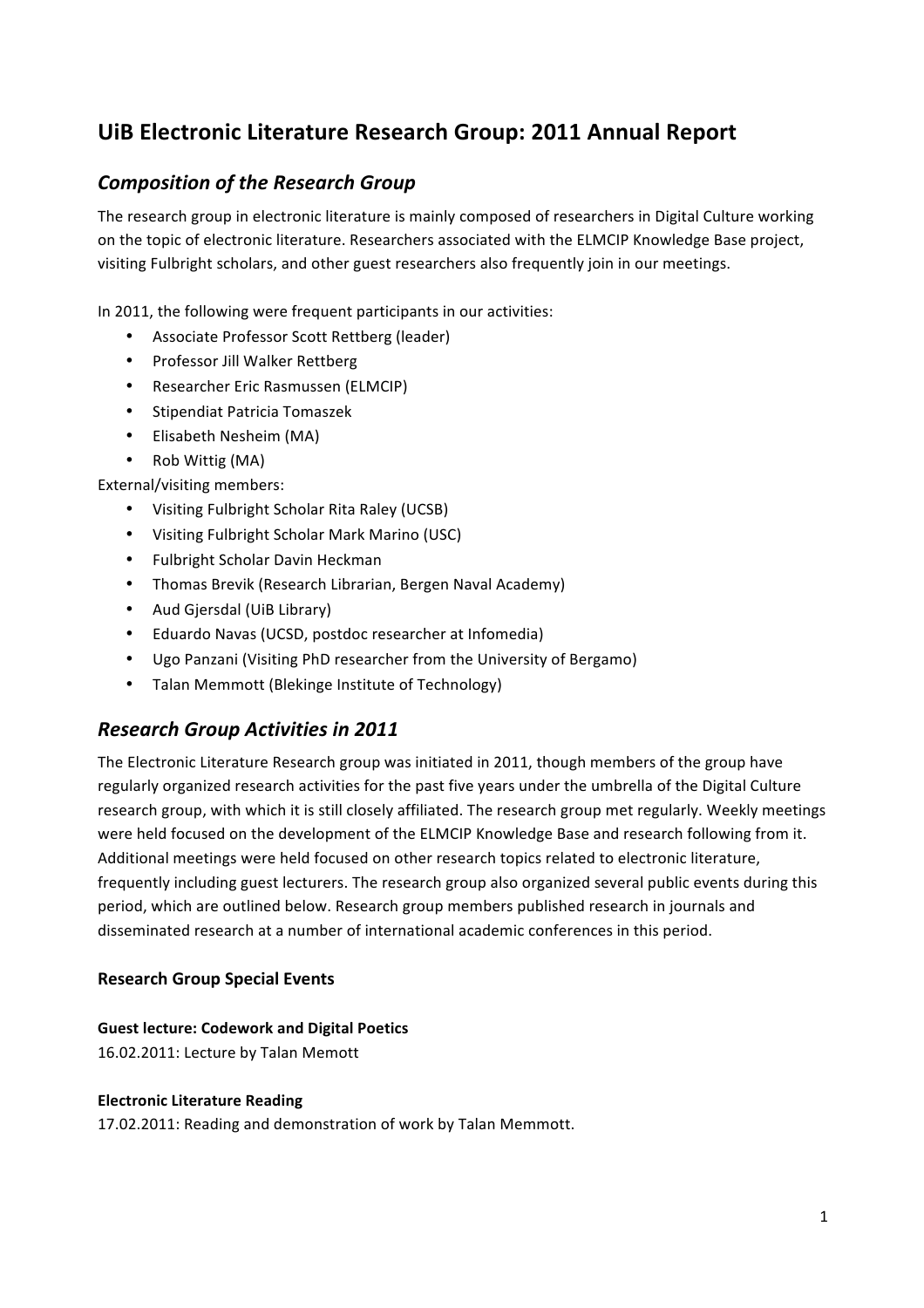# **UiB Electronic Literature Research Group: 2011 Annual Report**

## **Composition of the Research Group**

The research group in electronic literature is mainly composed of researchers in Digital Culture working on the topic of electronic literature. Researchers associated with the ELMCIP Knowledge Base project, visiting Fulbright scholars, and other guest researchers also frequently join in our meetings.

In 2011, the following were frequent participants in our activities:

- Associate Professor Scott Rettberg (leader)
- Professor Jill Walker Rettberg
- Researcher Eric Rasmussen (ELMCIP)
- Stipendiat Patricia Tomaszek
- Flisabeth Nesheim (MA)
- Rob Wittig (MA)

### External/visiting members:

- Visiting Fulbright Scholar Rita Raley (UCSB)
- Visiting Fulbright Scholar Mark Marino (USC)
- Fulbright Scholar Davin Heckman
- Thomas Brevik (Research Librarian, Bergen Naval Academy)
- Aud Giersdal (UiB Library)
- Eduardo Navas (UCSD, postdoc researcher at Infomedia)
- Ugo Panzani (Visiting PhD researcher from the University of Bergamo)
- Talan Memmott (Blekinge Institute of Technology)

### *Research Group Activities in 2011*

The Electronic Literature Research group was initiated in 2011, though members of the group have regularly organized research activities for the past five years under the umbrella of the Digital Culture research group, with which it is still closely affiliated. The research group met regularly. Weekly meetings were held focused on the development of the ELMCIP Knowledge Base and research following from it. Additional meetings were held focused on other research topics related to electronic literature, frequently including guest lecturers. The research group also organized several public events during this period, which are outlined below. Research group members published research in journals and disseminated research at a number of international academic conferences in this period.

### **Research Group Special Events**

### **Guest lecture: Codework and Digital Poetics**

16.02.2011: Lecture by Talan Memott

### **Electronic Literature Reading**

17.02.2011: Reading and demonstration of work by Talan Memmott.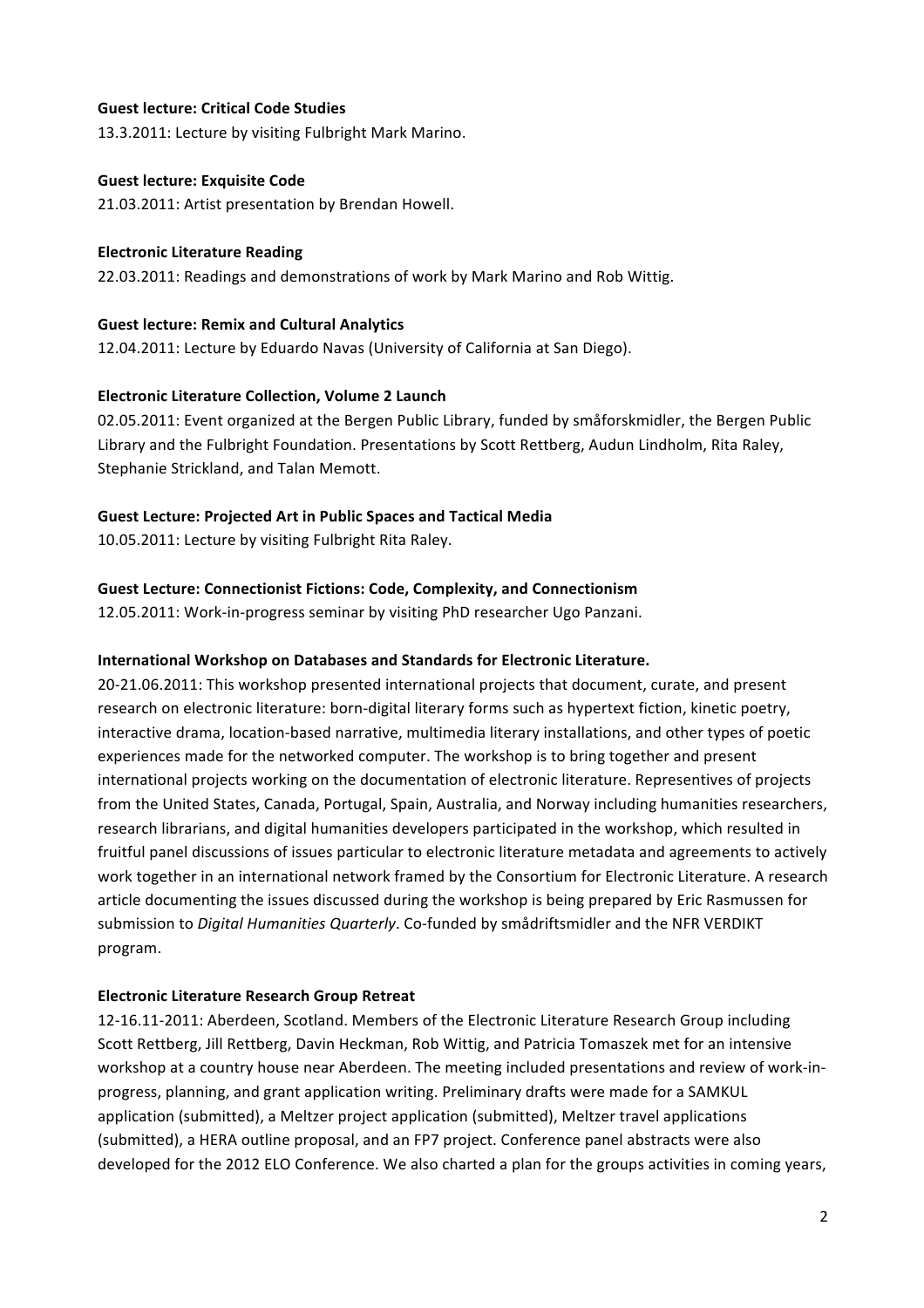### **Guest lecture: Critical Code Studies**

13.3.2011: Lecture by visiting Fulbright Mark Marino.

#### **Guest lecture: Exquisite Code**

21.03.2011: Artist presentation by Brendan Howell.

#### **Electronic Literature Reading**

22.03.2011: Readings and demonstrations of work by Mark Marino and Rob Wittig.

#### **Guest lecture: Remix and Cultural Analytics**

12.04.2011: Lecture by Eduardo Navas (University of California at San Diego).

#### **Electronic Literature Collection, Volume 2 Launch**

02.05.2011: Event organized at the Bergen Public Library, funded by småforskmidler, the Bergen Public Library and the Fulbright Foundation. Presentations by Scott Rettberg, Audun Lindholm, Rita Raley, Stephanie Strickland, and Talan Memott.

#### **Guest Lecture: Projected Art in Public Spaces and Tactical Media**

10.05.2011: Lecture by visiting Fulbright Rita Raley.

#### **Guest Lecture: Connectionist Fictions: Code, Complexity, and Connectionism**

12.05.2011: Work-in-progress seminar by visiting PhD researcher Ugo Panzani.

#### **International Workshop on Databases and Standards for Electronic Literature.**

20-21.06.2011: This workshop presented international projects that document, curate, and present research on electronic literature: born-digital literary forms such as hypertext fiction, kinetic poetry, interactive drama, location-based narrative, multimedia literary installations, and other types of poetic experiences made for the networked computer. The workshop is to bring together and present international projects working on the documentation of electronic literature. Representives of projects from the United States, Canada, Portugal, Spain, Australia, and Norway including humanities researchers, research librarians, and digital humanities developers participated in the workshop, which resulted in fruitful panel discussions of issues particular to electronic literature metadata and agreements to actively work together in an international network framed by the Consortium for Electronic Literature. A research article documenting the issues discussed during the workshop is being prepared by Eric Rasmussen for submission to *Digital Humanities Quarterly*. Co-funded by smådriftsmidler and the NFR VERDIKT program.

### **Electronic Literature Research Group Retreat**

12-16.11-2011: Aberdeen, Scotland. Members of the Electronic Literature Research Group including Scott Rettberg, Jill Rettberg, Davin Heckman, Rob Wittig, and Patricia Tomaszek met for an intensive workshop at a country house near Aberdeen. The meeting included presentations and review of work-inprogress, planning, and grant application writing. Preliminary drafts were made for a SAMKUL application (submitted), a Meltzer project application (submitted), Meltzer travel applications (submitted), a HERA outline proposal, and an FP7 project. Conference panel abstracts were also developed for the 2012 ELO Conference. We also charted a plan for the groups activities in coming years,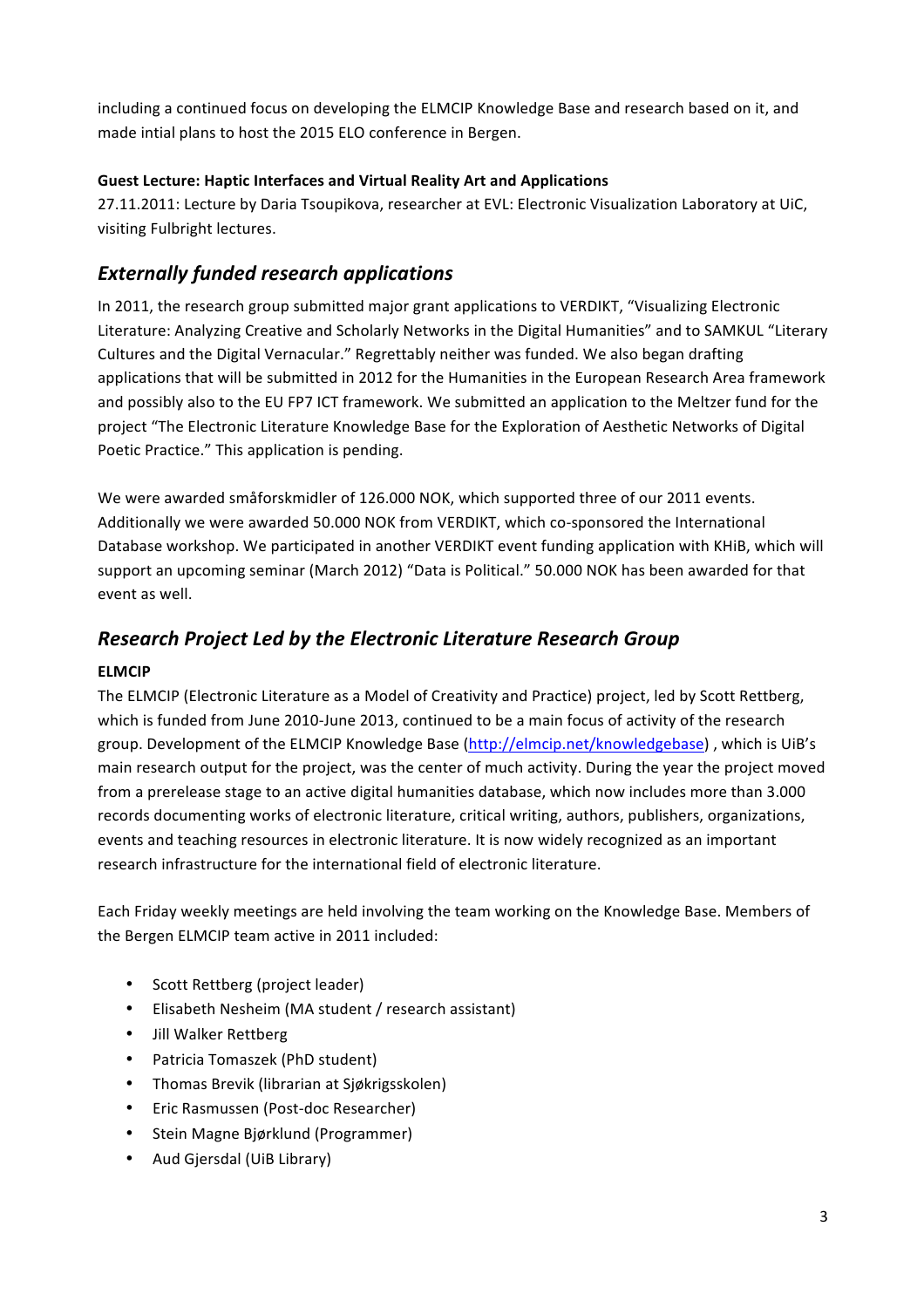including a continued focus on developing the ELMCIP Knowledge Base and research based on it, and made intial plans to host the 2015 ELO conference in Bergen.

### **Guest Lecture: Haptic Interfaces and Virtual Reality Art and Applications**

27.11.2011: Lecture by Daria Tsoupikova, researcher at EVL: Electronic Visualization Laboratory at UiC, visiting Fulbright lectures.

## *Externally funded research applications*

In 2011, the research group submitted major grant applications to VERDIKT, "Visualizing Electronic Literature: Analyzing Creative and Scholarly Networks in the Digital Humanities" and to SAMKUL "Literary Cultures and the Digital Vernacular." Regrettably neither was funded. We also began drafting applications that will be submitted in 2012 for the Humanities in the European Research Area framework and possibly also to the EU FP7 ICT framework. We submitted an application to the Meltzer fund for the project "The Electronic Literature Knowledge Base for the Exploration of Aesthetic Networks of Digital Poetic Practice." This application is pending.

We were awarded småforskmidler of 126.000 NOK, which supported three of our 2011 events. Additionally we were awarded 50.000 NOK from VERDIKT, which co-sponsored the International Database workshop. We participated in another VERDIKT event funding application with KHiB, which will support an upcoming seminar (March 2012) "Data is Political." 50.000 NOK has been awarded for that event as well.

## *Research Project Led by the Electronic Literature Research Group*

### **ELMCIP**

The ELMCIP (Electronic Literature as a Model of Creativity and Practice) project, led by Scott Rettberg, which is funded from June 2010-June 2013, continued to be a main focus of activity of the research group. Development of the ELMCIP Knowledge Base (http://elmcip.net/knowledgebase), which is UiB's main research output for the project, was the center of much activity. During the year the project moved from a prerelease stage to an active digital humanities database, which now includes more than 3.000 records documenting works of electronic literature, critical writing, authors, publishers, organizations, events and teaching resources in electronic literature. It is now widely recognized as an important research infrastructure for the international field of electronic literature.

Each Friday weekly meetings are held involving the team working on the Knowledge Base. Members of the Bergen ELMCIP team active in 2011 included:

- Scott Rettberg (project leader)
- Elisabeth Nesheim (MA student / research assistant)
- Jill Walker Rettberg
- Patricia Tomaszek (PhD student)
- Thomas Brevik (librarian at Sjøkrigsskolen)
- Eric Rasmussen (Post-doc Researcher)
- Stein Magne Bjørklund (Programmer)
- Aud Gjersdal (UiB Library)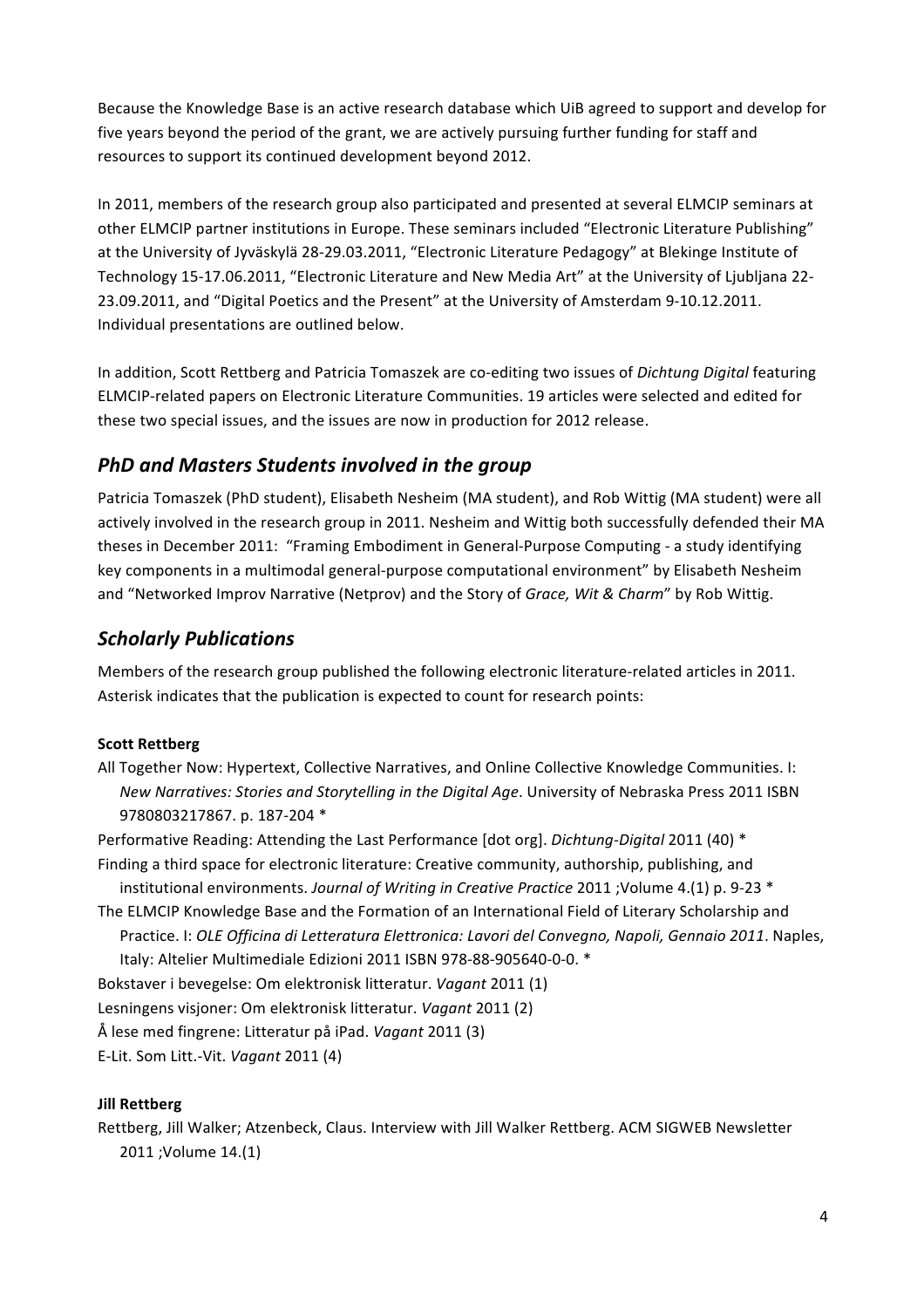Because the Knowledge Base is an active research database which UiB agreed to support and develop for five years beyond the period of the grant, we are actively pursuing further funding for staff and resources to support its continued development beyond 2012.

In 2011, members of the research group also participated and presented at several ELMCIP seminars at other ELMCIP partner institutions in Europe. These seminars included "Electronic Literature Publishing" at the University of Jyväskylä 28-29.03.2011, "Electronic Literature Pedagogy" at Blekinge Institute of Technology 15-17.06.2011, "Electronic Literature and New Media Art" at the University of Ljubljana 22-23.09.2011, and "Digital Poetics and the Present" at the University of Amsterdam 9-10.12.2011. Individual presentations are outlined below.

In addition, Scott Rettberg and Patricia Tomaszek are co-editing two issues of *Dichtung Digital* featuring ELMCIP-related papers on Electronic Literature Communities. 19 articles were selected and edited for these two special issues, and the issues are now in production for 2012 release.

## **PhD** and Masters Students involved in the group

Patricia Tomaszek (PhD student), Elisabeth Nesheim (MA student), and Rob Wittig (MA student) were all actively involved in the research group in 2011. Nesheim and Wittig both successfully defended their MA theses in December 2011: "Framing Embodiment in General-Purpose Computing - a study identifying key components in a multimodal general-purpose computational environment" by Elisabeth Nesheim and "Networked Improv Narrative (Netprov) and the Story of *Grace, Wit & Charm*" by Rob Wittig.

## *Scholarly Publications*

Members of the research group published the following electronic literature-related articles in 2011. Asterisk indicates that the publication is expected to count for research points:

### **Scott Rettberg**

All Together Now: Hypertext, Collective Narratives, and Online Collective Knowledge Communities. I: *New Narratives: Stories and Storytelling in the Digital Age.* University of Nebraska Press 2011 ISBN 9780803217867. p. 187-204 \*

Performative Reading: Attending the Last Performance [dot org]. *Dichtung-Digital* 2011 (40) \* Finding a third space for electronic literature: Creative community, authorship, publishing, and

institutional environments. Journal of Writing in Creative Practice 2011 ; Volume 4.(1) p. 9-23 \* The ELMCIP Knowledge Base and the Formation of an International Field of Literary Scholarship and Practice. I: OLE Officina di Letteratura Elettronica: Lavori del Convegno, Napoli, Gennaio 2011. Naples,

Italy: Altelier Multimediale Edizioni 2011 ISBN 978-88-905640-0-0. \*

Bokstaver i bevegelse: Om elektronisk litteratur. *Vagant* 2011 (1)

Lesningens visjoner: Om elektronisk litteratur. *Vagant* 2011 (2)

Å lese med fingrene: Litteratur på iPad. *Vagant* 2011 (3)

E-Lit. Som Litt.-Vit. *Vagant* 2011 (4)

### **Jill Rettberg**

Rettberg, Jill Walker; Atzenbeck, Claus. Interview with Jill Walker Rettberg. ACM SIGWEB Newsletter 2011 ; Volume 14.(1)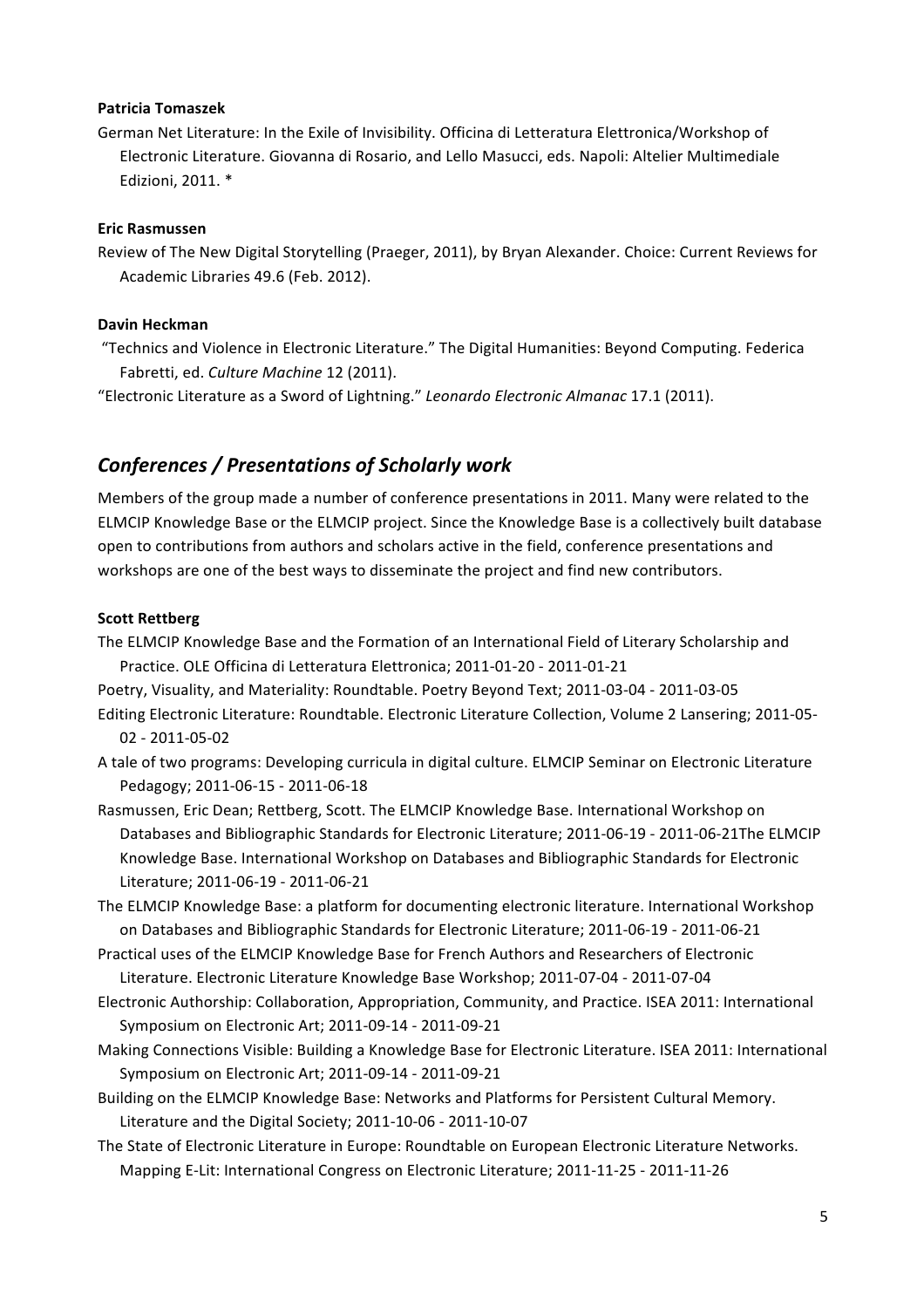#### **Patricia Tomaszek**

German Net Literature: In the Exile of Invisibility. Officina di Letteratura Elettronica/Workshop of Electronic Literature. Giovanna di Rosario, and Lello Masucci, eds. Napoli: Altelier Multimediale Edizioni, 2011. \*

### **Eric Rasmussen**

Review of The New Digital Storytelling (Praeger, 2011), by Bryan Alexander. Choice: Current Reviews for Academic Libraries 49.6 (Feb. 2012).

#### **Davin Heckman**

"Technics and Violence in Electronic Literature." The Digital Humanities: Beyond Computing. Federica Fabretti, ed. *Culture Machine* 12 (2011).

"Electronic Literature as a Sword of Lightning." *Leonardo Electronic Almanac* 17.1 (2011).

## *Conferences / Presentations of Scholarly work*

Members of the group made a number of conference presentations in 2011. Many were related to the ELMCIP Knowledge Base or the ELMCIP project. Since the Knowledge Base is a collectively built database open to contributions from authors and scholars active in the field, conference presentations and workshops are one of the best ways to disseminate the project and find new contributors.

#### **Scott Rettberg**

The ELMCIP Knowledge Base and the Formation of an International Field of Literary Scholarship and Practice. OLE Officina di Letteratura Elettronica; 2011-01-20 - 2011-01-21

Poetry, Visuality, and Materiality: Roundtable. Poetry Beyond Text; 2011-03-04 - 2011-03-05 Editing Electronic Literature: Roundtable. Electronic Literature Collection, Volume 2 Lansering; 2011-05-02 - 2011-05-02

A tale of two programs: Developing curricula in digital culture. ELMCIP Seminar on Electronic Literature Pedagogy; 2011-06-15 - 2011-06-18

- Rasmussen, Eric Dean; Rettberg, Scott. The ELMCIP Knowledge Base. International Workshop on Databases and Bibliographic Standards for Electronic Literature; 2011-06-19 - 2011-06-21The ELMCIP Knowledge Base. International Workshop on Databases and Bibliographic Standards for Electronic Literature; 2011-06-19 - 2011-06-21
- The ELMCIP Knowledge Base: a platform for documenting electronic literature. International Workshop on Databases and Bibliographic Standards for Electronic Literature; 2011-06-19 - 2011-06-21
- Practical uses of the ELMCIP Knowledge Base for French Authors and Researchers of Electronic Literature. Electronic Literature Knowledge Base Workshop; 2011-07-04 - 2011-07-04
- Electronic Authorship: Collaboration, Appropriation, Community, and Practice. ISEA 2011: International Symposium on Electronic Art; 2011-09-14 - 2011-09-21
- Making Connections Visible: Building a Knowledge Base for Electronic Literature. ISEA 2011: International Symposium on Electronic Art; 2011-09-14 - 2011-09-21
- Building on the ELMCIP Knowledge Base: Networks and Platforms for Persistent Cultural Memory. Literature and the Digital Society; 2011-10-06 - 2011-10-07
- The State of Electronic Literature in Europe: Roundtable on European Electronic Literature Networks. Mapping E-Lit: International Congress on Electronic Literature; 2011-11-25 - 2011-11-26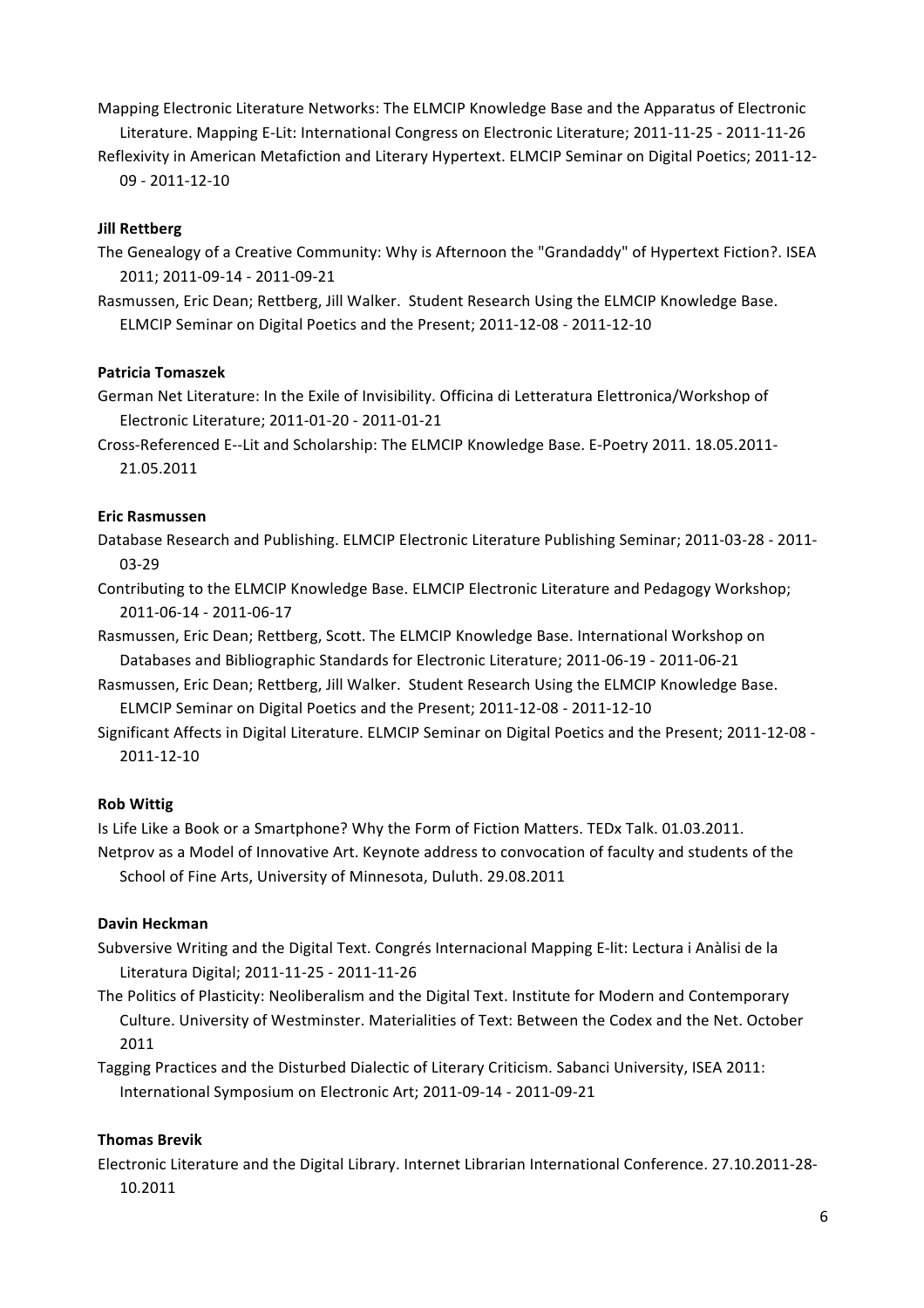Mapping Electronic Literature Networks: The ELMCIP Knowledge Base and the Apparatus of Electronic Literature. Mapping E-Lit: International Congress on Electronic Literature; 2011-11-25 - 2011-11-26

Reflexivity in American Metafiction and Literary Hypertext. ELMCIP Seminar on Digital Poetics; 2011-12-09 - 2011-12-10

### **Jill Rettberg**

The Genealogy of a Creative Community: Why is Afternoon the "Grandaddy" of Hypertext Fiction?. ISEA 2011; 2011-09-14 - 2011-09-21

Rasmussen, Eric Dean; Rettberg, Jill Walker. Student Research Using the ELMCIP Knowledge Base. ELMCIP Seminar on Digital Poetics and the Present; 2011-12-08 - 2011-12-10

### **Patricia Tomaszek**

German Net Literature: In the Exile of Invisibility. Officina di Letteratura Elettronica/Workshop of Electronic Literature; 2011-01-20 - 2011-01-21

Cross-Referenced E--Lit and Scholarship: The ELMCIP Knowledge Base. E-Poetry 2011. 18.05.2011-21.05.2011

### **Eric Rasmussen**

Database Research and Publishing. ELMCIP Electronic Literature Publishing Seminar; 2011-03-28 - 2011-03-29

Contributing to the ELMCIP Knowledge Base. ELMCIP Electronic Literature and Pedagogy Workshop; 2011-06-14 - 2011-06-17

Rasmussen, Eric Dean; Rettberg, Scott. The ELMCIP Knowledge Base. International Workshop on Databases and Bibliographic Standards for Electronic Literature; 2011-06-19 - 2011-06-21

Rasmussen, Eric Dean; Rettberg, Jill Walker. Student Research Using the ELMCIP Knowledge Base. ELMCIP Seminar on Digital Poetics and the Present; 2011-12-08 - 2011-12-10

Significant Affects in Digital Literature. ELMCIP Seminar on Digital Poetics and the Present; 2011-12-08 -2011-12-10

### **Rob Wittig**

Is Life Like a Book or a Smartphone? Why the Form of Fiction Matters. TEDx Talk. 01.03.2011. Netprov as a Model of Innovative Art. Keynote address to convocation of faculty and students of the School of Fine Arts, University of Minnesota, Duluth. 29.08.2011

### **Davin Heckman**

Subversive Writing and the Digital Text. Congrés Internacional Mapping E-lit: Lectura i Anàlisi de la Literatura Digital; 2011-11-25 - 2011-11-26

The Politics of Plasticity: Neoliberalism and the Digital Text. Institute for Modern and Contemporary Culture. University of Westminster. Materialities of Text: Between the Codex and the Net. October 2011

Tagging Practices and the Disturbed Dialectic of Literary Criticism. Sabanci University, ISEA 2011: International Symposium on Electronic Art; 2011-09-14 - 2011-09-21

### **Thomas Brevik**

Electronic Literature and the Digital Library. Internet Librarian International Conference. 27.10.2011-28-10.2011